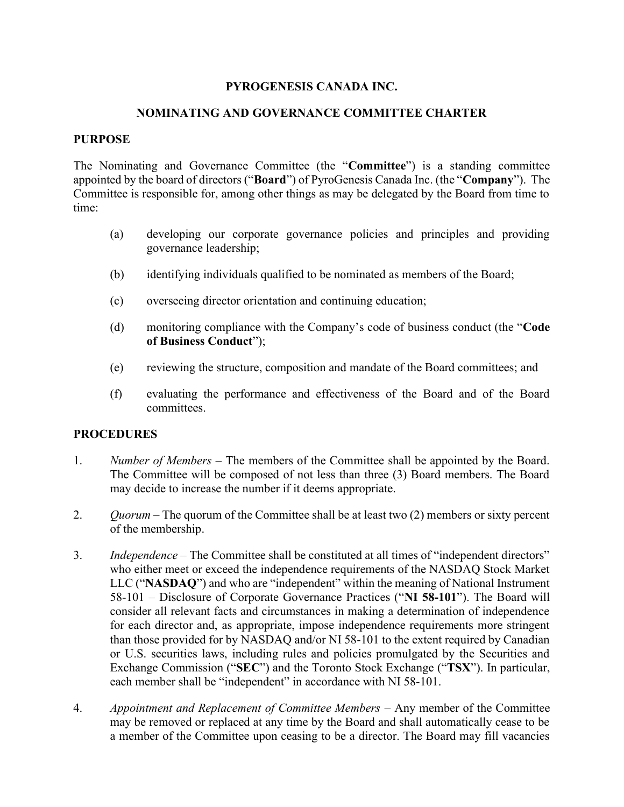# PYROGENESIS CANADA INC.

## NOMINATING AND GOVERNANCE COMMITTEE CHARTER

### PURPOSE

The Nominating and Governance Committee (the "Committee") is a standing committee appointed by the board of directors ("Board") of PyroGenesis Canada Inc. (the "Company"). The Committee is responsible for, among other things as may be delegated by the Board from time to time:

- (a) developing our corporate governance policies and principles and providing governance leadership;
- (b) identifying individuals qualified to be nominated as members of the Board;
- (c) overseeing director orientation and continuing education;
- (d) monitoring compliance with the Company's code of business conduct (the "Code of Business Conduct");
- (e) reviewing the structure, composition and mandate of the Board committees; and
- (f) evaluating the performance and effectiveness of the Board and of the Board committees.

### **PROCEDURES**

- 1. Number of Members The members of the Committee shall be appointed by the Board. The Committee will be composed of not less than three (3) Board members. The Board may decide to increase the number if it deems appropriate.
- 2.  $Quorum The quorum of the Committee shall be at least two (2) members or sixty percent$ of the membership.
- 3. Independence The Committee shall be constituted at all times of "independent directors" who either meet or exceed the independence requirements of the NASDAQ Stock Market LLC ("NASDAQ") and who are "independent" within the meaning of National Instrument 58-101 – Disclosure of Corporate Governance Practices ("NI 58-101"). The Board will consider all relevant facts and circumstances in making a determination of independence for each director and, as appropriate, impose independence requirements more stringent than those provided for by NASDAQ and/or NI 58-101 to the extent required by Canadian or U.S. securities laws, including rules and policies promulgated by the Securities and Exchange Commission ("SEC") and the Toronto Stock Exchange ("TSX"). In particular, each member shall be "independent" in accordance with NI 58-101.
- 4. Appointment and Replacement of Committee Members Any member of the Committee may be removed or replaced at any time by the Board and shall automatically cease to be a member of the Committee upon ceasing to be a director. The Board may fill vacancies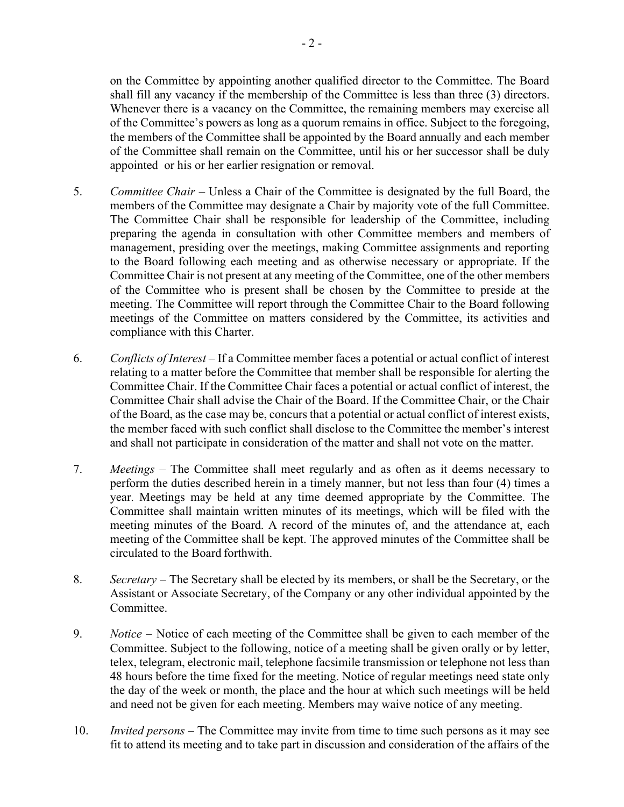on the Committee by appointing another qualified director to the Committee. The Board shall fill any vacancy if the membership of the Committee is less than three (3) directors. Whenever there is a vacancy on the Committee, the remaining members may exercise all of the Committee's powers as long as a quorum remains in office. Subject to the foregoing, the members of the Committee shall be appointed by the Board annually and each member of the Committee shall remain on the Committee, until his or her successor shall be duly appointed or his or her earlier resignation or removal.

- 5. Committee Chair Unless a Chair of the Committee is designated by the full Board, the members of the Committee may designate a Chair by majority vote of the full Committee. The Committee Chair shall be responsible for leadership of the Committee, including preparing the agenda in consultation with other Committee members and members of management, presiding over the meetings, making Committee assignments and reporting to the Board following each meeting and as otherwise necessary or appropriate. If the Committee Chair is not present at any meeting of the Committee, one of the other members of the Committee who is present shall be chosen by the Committee to preside at the meeting. The Committee will report through the Committee Chair to the Board following meetings of the Committee on matters considered by the Committee, its activities and compliance with this Charter.
- 6. Conflicts of Interest If a Committee member faces a potential or actual conflict of interest relating to a matter before the Committee that member shall be responsible for alerting the Committee Chair. If the Committee Chair faces a potential or actual conflict of interest, the Committee Chair shall advise the Chair of the Board. If the Committee Chair, or the Chair of the Board, as the case may be, concurs that a potential or actual conflict of interest exists, the member faced with such conflict shall disclose to the Committee the member's interest and shall not participate in consideration of the matter and shall not vote on the matter.
- 7. Meetings The Committee shall meet regularly and as often as it deems necessary to perform the duties described herein in a timely manner, but not less than four (4) times a year. Meetings may be held at any time deemed appropriate by the Committee. The Committee shall maintain written minutes of its meetings, which will be filed with the meeting minutes of the Board. A record of the minutes of, and the attendance at, each meeting of the Committee shall be kept. The approved minutes of the Committee shall be circulated to the Board forthwith.
- 8. Secretary The Secretary shall be elected by its members, or shall be the Secretary, or the Assistant or Associate Secretary, of the Company or any other individual appointed by the Committee.
- 9. Notice Notice of each meeting of the Committee shall be given to each member of the Committee. Subject to the following, notice of a meeting shall be given orally or by letter, telex, telegram, electronic mail, telephone facsimile transmission or telephone not less than 48 hours before the time fixed for the meeting. Notice of regular meetings need state only the day of the week or month, the place and the hour at which such meetings will be held and need not be given for each meeting. Members may waive notice of any meeting.
- 10. Invited persons The Committee may invite from time to time such persons as it may see fit to attend its meeting and to take part in discussion and consideration of the affairs of the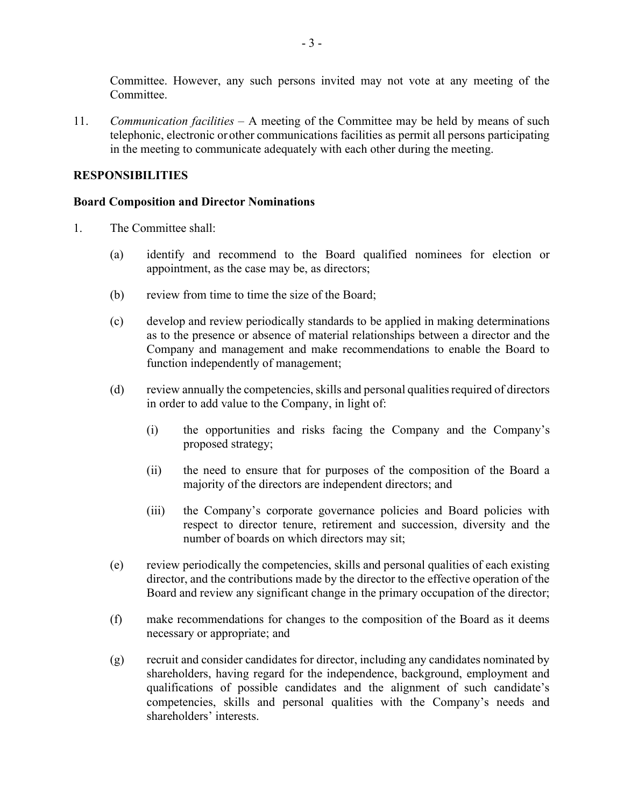Committee. However, any such persons invited may not vote at any meeting of the Committee.

11. Communication facilities – A meeting of the Committee may be held by means of such telephonic, electronic or other communications facilities as permit all persons participating in the meeting to communicate adequately with each other during the meeting.

## RESPONSIBILITIES

### Board Composition and Director Nominations

- 1. The Committee shall:
	- (a) identify and recommend to the Board qualified nominees for election or appointment, as the case may be, as directors;
	- (b) review from time to time the size of the Board;
	- (c) develop and review periodically standards to be applied in making determinations as to the presence or absence of material relationships between a director and the Company and management and make recommendations to enable the Board to function independently of management;
	- (d) review annually the competencies, skills and personal qualities required of directors in order to add value to the Company, in light of:
		- (i) the opportunities and risks facing the Company and the Company's proposed strategy;
		- (ii) the need to ensure that for purposes of the composition of the Board a majority of the directors are independent directors; and
		- (iii) the Company's corporate governance policies and Board policies with respect to director tenure, retirement and succession, diversity and the number of boards on which directors may sit;
	- (e) review periodically the competencies, skills and personal qualities of each existing director, and the contributions made by the director to the effective operation of the Board and review any significant change in the primary occupation of the director;
	- (f) make recommendations for changes to the composition of the Board as it deems necessary or appropriate; and
	- (g) recruit and consider candidates for director, including any candidates nominated by shareholders, having regard for the independence, background, employment and qualifications of possible candidates and the alignment of such candidate's competencies, skills and personal qualities with the Company's needs and shareholders' interests.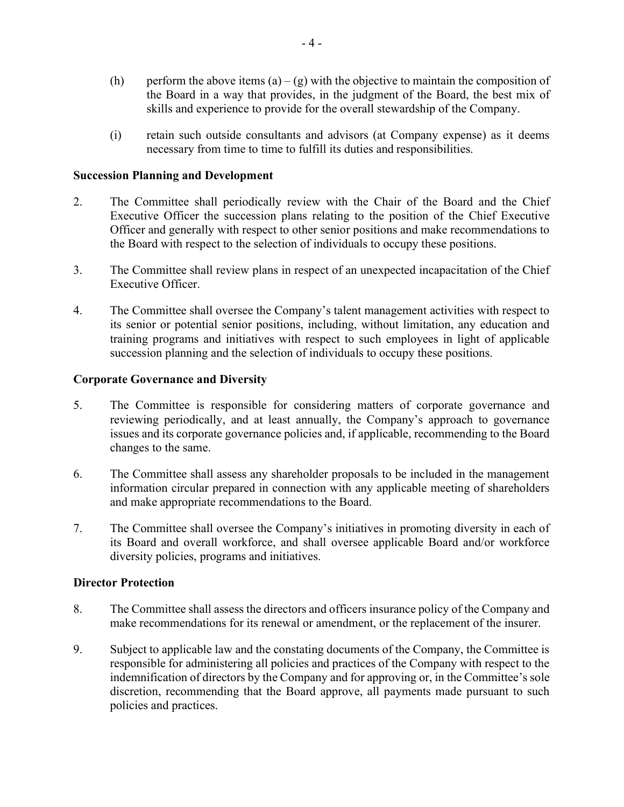- (h) perform the above items  $(a) (g)$  with the objective to maintain the composition of the Board in a way that provides, in the judgment of the Board, the best mix of skills and experience to provide for the overall stewardship of the Company.
- (i) retain such outside consultants and advisors (at Company expense) as it deems necessary from time to time to fulfill its duties and responsibilities.

### Succession Planning and Development

- 2. The Committee shall periodically review with the Chair of the Board and the Chief Executive Officer the succession plans relating to the position of the Chief Executive Officer and generally with respect to other senior positions and make recommendations to the Board with respect to the selection of individuals to occupy these positions.
- 3. The Committee shall review plans in respect of an unexpected incapacitation of the Chief Executive Officer.
- 4. The Committee shall oversee the Company's talent management activities with respect to its senior or potential senior positions, including, without limitation, any education and training programs and initiatives with respect to such employees in light of applicable succession planning and the selection of individuals to occupy these positions.

### Corporate Governance and Diversity

- 5. The Committee is responsible for considering matters of corporate governance and reviewing periodically, and at least annually, the Company's approach to governance issues and its corporate governance policies and, if applicable, recommending to the Board changes to the same.
- 6. The Committee shall assess any shareholder proposals to be included in the management information circular prepared in connection with any applicable meeting of shareholders and make appropriate recommendations to the Board.
- 7. The Committee shall oversee the Company's initiatives in promoting diversity in each of its Board and overall workforce, and shall oversee applicable Board and/or workforce diversity policies, programs and initiatives.

#### Director Protection

- 8. The Committee shall assess the directors and officers insurance policy of the Company and make recommendations for its renewal or amendment, or the replacement of the insurer.
- 9. Subject to applicable law and the constating documents of the Company, the Committee is responsible for administering all policies and practices of the Company with respect to the indemnification of directors by the Company and for approving or, in the Committee's sole discretion, recommending that the Board approve, all payments made pursuant to such policies and practices.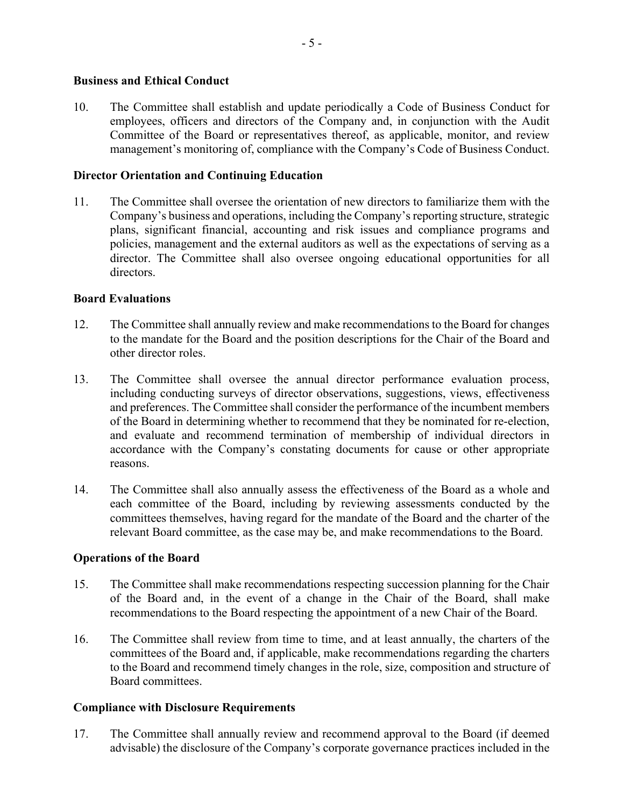### Business and Ethical Conduct

10. The Committee shall establish and update periodically a Code of Business Conduct for employees, officers and directors of the Company and, in conjunction with the Audit Committee of the Board or representatives thereof, as applicable, monitor, and review management's monitoring of, compliance with the Company's Code of Business Conduct.

### Director Orientation and Continuing Education

11. The Committee shall oversee the orientation of new directors to familiarize them with the Company's business and operations, including the Company's reporting structure, strategic plans, significant financial, accounting and risk issues and compliance programs and policies, management and the external auditors as well as the expectations of serving as a director. The Committee shall also oversee ongoing educational opportunities for all directors.

### Board Evaluations

- 12. The Committee shall annually review and make recommendations to the Board for changes to the mandate for the Board and the position descriptions for the Chair of the Board and other director roles.
- 13. The Committee shall oversee the annual director performance evaluation process, including conducting surveys of director observations, suggestions, views, effectiveness and preferences. The Committee shall consider the performance of the incumbent members of the Board in determining whether to recommend that they be nominated for re-election, and evaluate and recommend termination of membership of individual directors in accordance with the Company's constating documents for cause or other appropriate reasons.
- 14. The Committee shall also annually assess the effectiveness of the Board as a whole and each committee of the Board, including by reviewing assessments conducted by the committees themselves, having regard for the mandate of the Board and the charter of the relevant Board committee, as the case may be, and make recommendations to the Board.

### Operations of the Board

- 15. The Committee shall make recommendations respecting succession planning for the Chair of the Board and, in the event of a change in the Chair of the Board, shall make recommendations to the Board respecting the appointment of a new Chair of the Board.
- 16. The Committee shall review from time to time, and at least annually, the charters of the committees of the Board and, if applicable, make recommendations regarding the charters to the Board and recommend timely changes in the role, size, composition and structure of Board committees.

#### Compliance with Disclosure Requirements

17. The Committee shall annually review and recommend approval to the Board (if deemed advisable) the disclosure of the Company's corporate governance practices included in the